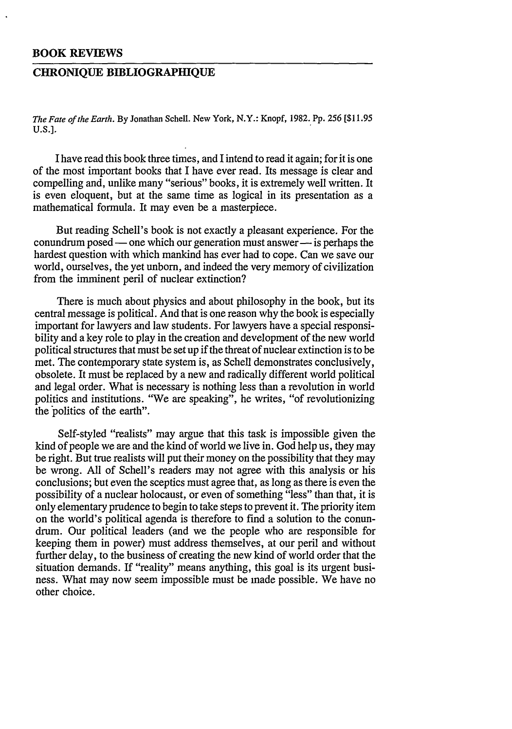## **BOOK REVIEWS**

## **CHRONIQUE BIBLIOGRAPHIQUE**

*The Fate of the Earth.* **By Jonathan Schell. New York, N.Y.: Knopf, 1982. Pp. 256 [\$11.95 U.S.].**

I have read this book three times, and I intend to read it again; for it is one of the most important books that I have ever read. Its message is clear and compelling and, unlike many "serious" books, it is extremely well written. It is even eloquent, but at the same time as logical in its presentation as a mathematical formula. It may even be a masterpiece.

But reading Schell's book is not exactly a pleasant experience. For the conundrum posed — one which our generation must answer — is perhaps the hardest question with which mankind has ever had to cope. Can we save our world, ourselves, the yet unborn, and indeed the very memory of civilization from the imminent peril of nuclear extinction?

There is much about physics and about philosophy in the book, but its central message is political. And that is one reason why the book is especially important for lawyers and law students. For lawyers have a special responsibility and a key role to play in the creation and development of the new world political structures that must be set up if the threat of nuclear extinction is to be met. The contemporary state system is, as Schell demonstrates conclusively, obsolete. It must be replaced **by** a new and radically different world political and legal order. What is necessary is nothing less than a revolution in world politics and institutions. "We are speaking", he writes, "of revolutionizing the politics of the earth".

Self-styled "realists" may argue that this task is impossible given the kind of people we are and the kind of world we live in. God help us, they may be right. But true realists will put their money on the possibility that they may be wrong. **All** of Schell's readers may not agree with this analysis or his conclusions; but even the sceptics must agree that, as long as there is even the possibility of a nuclear holocaust, or even of something "less" than that, it is only elementary prudence to begin to take steps to prevent it. The priority item on the world's political agenda is therefore to find a solution to the conundrum. Our political leaders (and we the people who are responsible for keeping them in power) must address themselves, at our peril and without further delay, to the business of creating the new kind of world order that the situation demands. If "reality" means anything, this goal is its urgent business. What may now seem impossible must be made possible. We have no other choice.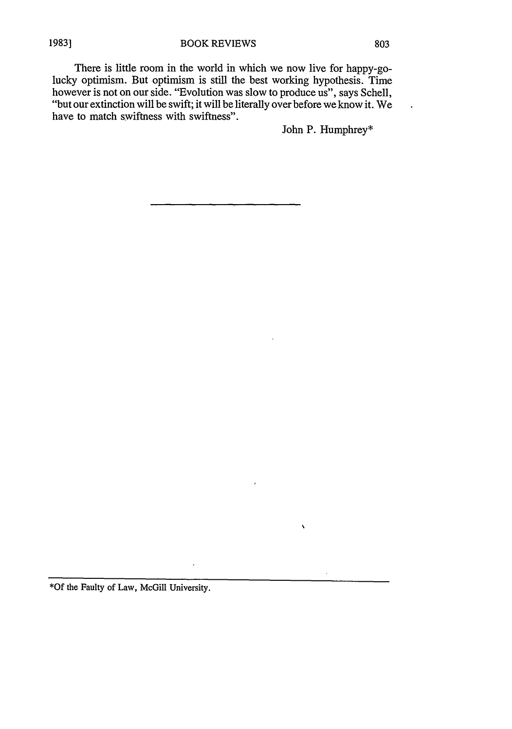There is little room in the world in which we now live for happy-golucky optimism. But optimism is still the best working hypothesis. Time however is not on our side. "Evolution was slow to produce us", says Schell, "but our extinction will be swift; it will be literally over before we know it. We have to match swiftness with swiftness".

John P. Humphrey\*

 $\mathbf{v}$ 

 $\lambda$ 

\*Of the Faulty of Law, McGill University.

 $\cdot$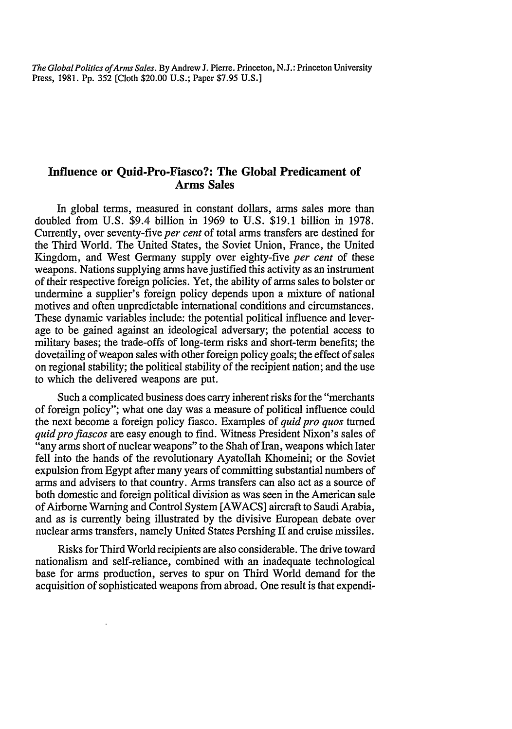*The Global Politics ofArms Sales.* **By** Andrew **J.** Pierre. Princeton, **N.J.:** Princeton University Press, **1981. Pp. 352** [Cloth \$20.00 **U.S.;** Paper **\$7.95 U.S.]**

## **Influence or Quid-Pro-Fiasco?: The Global Predicament of Arms Sales**

In global terms, measured in constant dollars, arms sales more than doubled from **U.S.** \$9.4 billion in **1969** to **U.S. \$19.1** billion in **1978.** Currently, over seventy-five *per cent* of total arms transfers are destined for the Third World. The United States, the Soviet Union, France, the United Kingdom, and West Germany supply over eighty-five *per cent* of these weapons. Nations supplying arms have justified this activity as an instrument of their respective foreign policies. Yet, the ability of arms sales to bolster or undermine a supplier's foreign policy depends upon a mixture of national motives and often unpredictable international conditions and circumstances. These dynamic variables include: the potential political influence and leverage to be gained against an ideological adversary; the potential access to military bases; the trade-offs of long-term risks and short-term benefits; the dovetailing of weapon sales with other foreign policy goals; the effect of sales on regional stability; the political stability of the recipient nation; and the use to which the delivered weapons are put.

Such a complicated business does carry inherent risks for the "merchants of foreign policy"; what one day was a measure of political influence could the next become a foreign policy fiasco. Examples of *quid pro quos* turned *quid pro fiascos* are easy enough to find. Witness President Nixon's sales of "any arms short of nuclear weapons" to the Shah of Iran, weapons which later fell into the hands of the revolutionary Ayatollah Khomeini; or the Soviet expulsion from Egypt after many years of committing substantial numbers of arms and advisers to that country. Arms transfers can also act as a source of both domestic and foreign political division as was seen in the American sale of Airborne Warning and Control System [AWACS] aircraft to Saudi Arabia, and as is currently being illustrated by the divisive European debate over nuclear arms transfers, namely United States Pershing II and cruise missiles.

Risks for Third World recipients are also considerable. The drive toward nationalism and self-reliance, combined with an inadequate technological base for arms production, serves to spur on Third World demand for the acquisition of sophisticated weapons from abroad. One result is that expendi-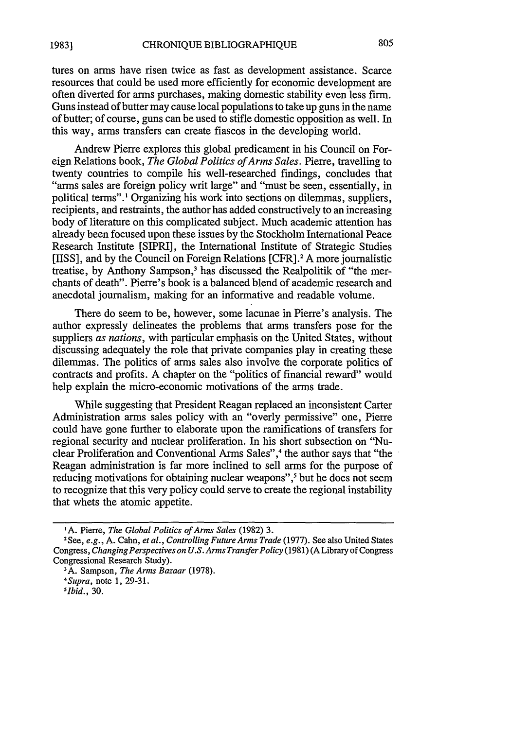805

tures on arms have risen twice as fast as development assistance. Scarce resources that could be used more efficiently for economic development are often diverted for arms purchases, making domestic stability even less firm. Guns instead of butter may cause local populations to take up guns in the name of butter; of course, guns can be used to stifle domestic opposition as well. In this way, arms transfers can create fiascos in the developing world.

Andrew Pierre explores this global predicament in his Council on Foreign Relations book, *The Global Politics of Arms Sales.* Pierre, travelling to twenty countries to compile his well-researched findings, concludes that "arms sales are foreign policy writ large" and "must be seen, essentially, in political terms".' Organizing his work into sections on dilemmas, suppliers, recipients, and restraints, the author has added constructively to an increasing body of literature on this complicated subject. Much academic attention has already been focused upon these issues by the Stockholm International Peace Research Institute [SIPRI], the International Institute of Strategic Studies [IISS], and by the Council on Foreign Relations [CFR].2 A more journalistic treatise, by Anthony Sampson,<sup>3</sup> has discussed the Realpolitik of "the merchants of death". Pierre's book is a balanced blend of academic research and anecdotal journalism, making for an informative and readable volume.

There do seem to be, however, some lacunae in Pierre's analysis. The author expressly delineates the problems that arms transfers pose for the suppliers *as nations,* with particular emphasis on the United States, without discussing adequately the role that private companies play in creating these dilemmas. The politics of arms sales also involve the corporate politics of contracts and profits. A chapter on the "politics of financial reward" would help explain the micro-economic motivations of the arms trade.

While suggesting that President Reagan replaced an inconsistent Carter Administration arms sales policy with an "overly permissive" one, Pierre could have gone further to elaborate upon the ramifications of transfers for regional security and nuclear proliferation. In his short subsection on "Nuclear Proliferation and Conventional Arms Sales",4 the author says that "the Reagan administration is far more inclined to sell arms for the purpose of reducing motivations for obtaining nuclear weapons",<sup>5</sup> but he does not seem to recognize that this very policy could serve to create the regional instability that whets the atomic appetite.

**I** A. Pierre, *The Global Politics of Arms Sales* (1982) 3.

**<sup>2</sup>** See, *e.g.,* A. Cahn, *et al., Controlling Future Arms Trade* (1977). See also United States Congress, *Changing Perspectives on U.S. Arms Transfer Policy* (1981) (A Library of Congress Congressional Research Study).<br><sup>3</sup>A. Sampson, *The Arms Bazaar* (1978).<br>*4Supra*, note 1, 29-31.

*Ibid.,* 30.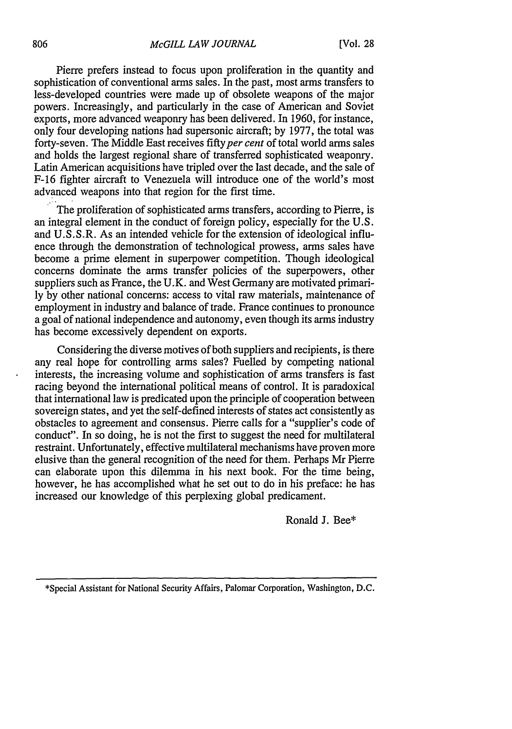Pierre prefers instead to focus upon proliferation in the quantity and sophistication of conventional arms sales. In the past, most arms transfers to less-developed countries were made up of obsolete weapons of the major powers. Increasingly, and particularly in the case of American and Soviet exports, more advanced weaponry has been delivered. In 1960, for instance, only four developing nations had supersonic aircraft; by 1977, the total was forty-seven. The Middle East receives fifty per cent of total world arms sales and holds the largest regional share of transferred sophisticated weaponry. Latin American acquisitions have tripled over the last decade, and the sale of F-16 fighter aircraft to Venezuela will introduce one of the world's most advanced weapons into that region for the first time.

The proliferation of sophisticated arms transfers, according to Pierre, is an integral element in the conduct of foreign policy, especially for the U.S. and U.S.S.R. As an intended vehicle for the extension of ideological influence through the demonstration of technological prowess, arms sales have become a prime element in superpower competition. Though ideological concerns dominate the arms transfer policies of the superpowers, other suppliers such as France, the U.K. and West Germany are motivated primarily by other national concerns: access to vital raw materials, maintenance of employment in industry and balance of trade. France continues to pronounce a goal of national independence and autonomy, even though its arms industry has become excessively dependent on exports.

Considering the diverse motives of both suppliers and recipients, is there any real hope for controlling arms sales? Fuelled by competing national interests, the increasing volume and sophistication of arms transfers is fast racing beyond the international political means of control. It is paradoxical that international law is predicated upon the principle of cooperation between sovereign states, and yet the self-defined interests of states act consistently as obstacles to agreement and consensus. Pierre calls for a "supplier's code of conduct". In so doing, he is not the first to suggest the need for multilateral restraint. Unfortunately, effective multilateral mechanisms have proven more elusive than the general recognition of the need for them. Perhaps Mr Pierre can elaborate upon this dilemma in his next book. For the time being, however, he has accomplished what he set out to do in his preface: he has increased our knowledge of this perplexing global predicament.

Ronald J. Bee\*

<sup>\*</sup>Special Assistant for National Security Affairs, Palomar Corporation, Washington, **D.C.**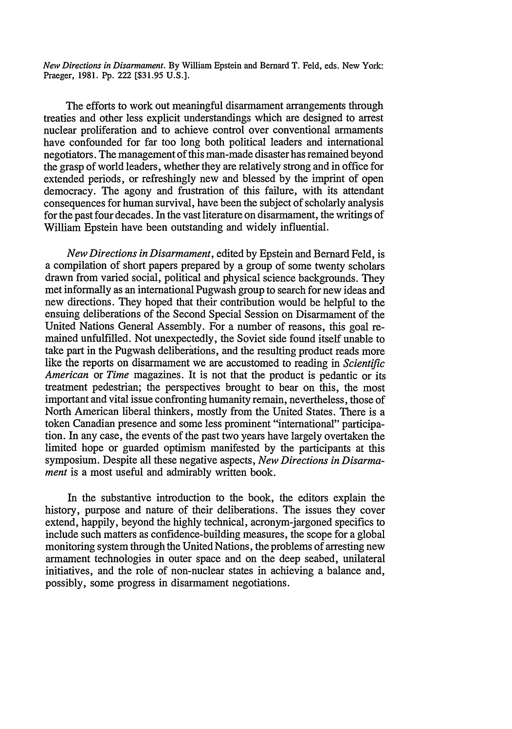*New Directions in Disarmament.* **By** William Epstein and Bernard T. Feld, eds. New York: Praeger, 1981. Pp. 222 [\$31.95 U.S.].

The efforts to work out meaningful disarmament arrangements through treaties and other less explicit understandings which are designed to arrest nuclear proliferation and to achieve control over conventional armaments have confounded for far too long both political leaders and international negotiators. The management of this man-made disaster has remained beyond the grasp of world leaders, whether they are relatively strong and in office for extended periods, or refreshingly new and blessed by the imprint of open democracy. The agony and frustration of this failure, with its attendant consequences for human survival, have been the subject of scholarly analysis for the past four decades. In the vast literature on disarmament, the writings of William Epstein have been outstanding and widely influential.

*New Directions in Disarmament,* edited by Epstein and Bernard Feld, is a compilation of short papers prepared by a group of some twenty scholars drawn from varied social, political and physical science backgrounds. They met informally as an international Pugwash group to search for new ideas and new directions. They hoped that their contribution would be helpful to the ensuing deliberations of the Second Special Session on Disarmament of the United Nations General Assembly. For a number of reasons, this goal remained unfulfilled. Not unexpectedly, the Soviet side found itself unable to take part in the Pugwash deliberations, and the resulting product reads more like the reports on disarmament we are accustomed to reading in *Scientific American* or *Time* magazines. It is not that the product is pedantic or its treatment pedestrian; the perspectives brought to bear on this, the most important and vital issue confronting humanity remain, nevertheless, those of North American liberal thinkers, mostly from the United States. There is a token Canadian presence and some less prominent "international" participation. In any case, the events of the past two years have largely overtaken the limited hope or guarded optimism manifested by the participants at this symposium. Despite all these negative aspects, *New Directions in Disarmament* is a most useful and admirably written book.

In the substantive introduction to the book, the editors explain the history, purpose and nature of their deliberations. The issues they cover extend, happily, beyond the highly technical, acronym-jargoned specifics to include such matters as confidence-building measures, the scope for a global monitoring system through the United Nations, the problems of arresting new armament technologies in outer space and on the deep seabed, unilateral initiatives, and the role of non-nuclear states in achieving a balance and, possibly, some progress in disarmament negotiations.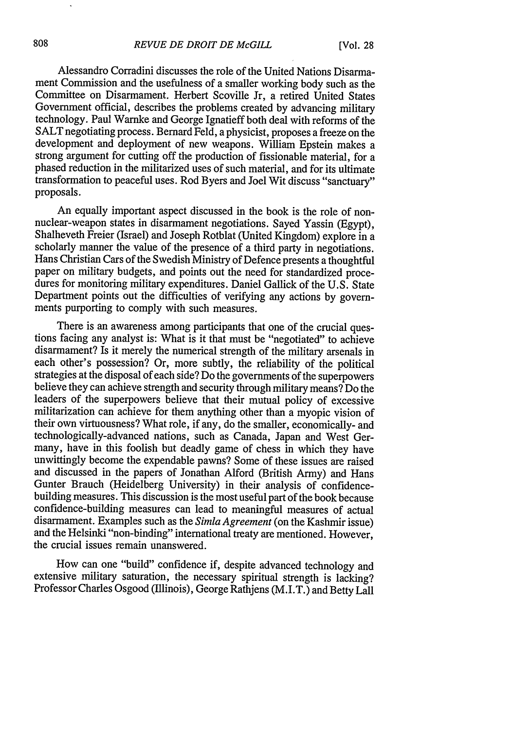Alessandro Corradini discusses the role of the United Nations Disarmament Commission and the usefulness of a smaller working body such as the Committee on Disarmament. Herbert Scoville Jr, a retired United States Government official, describes the problems created by advancing military technology. Paul Warnke and George Ignatieff both deal with reforms of the SALT negotiating process. Bernard Feld, a physicist, proposes a freeze on the development and deployment of new weapons. William Epstein makes a strong argument for cutting off the production of fissionable material, for a phased reduction in the militarized uses of such material, and for its ultimate transformation to peaceful uses. Rod Byers and Joel Wit discuss "sanctuary" proposals.

An equally important aspect discussed in the book is the role of nonnuclear-weapon states in disarmament negotiations. Sayed Yassin (Egypt), Shalheveth Freier (Israel) and Joseph Rotblat (United Kingdom) explore in a scholarly manner the value of the presence of a third party in negotiations. Hans Christian Cars of the Swedish Ministry of Defence presents a thoughtful paper on military budgets, and points out the need for standardized procedures for monitoring military expenditures. Daniel Gallick of the U.S. State Department points out the difficulties of verifying any actions by governments purporting to comply with such measures.

There is an awareness among participants that one of the crucial ques- tions facing any analyst is: What is it that must be "negotiated" to achieve disarmament? Is it merely the numerical strength of the military arsenals in each other's possession? Or, more subtly, the reliability of the political strategies at the disposal of each side? Do the governments of the superpowers believe they can achieve strength and security through military means? Do the leaders of the superpowers believe that their mutual policy of excessive militarization can achieve for them anything other than a myopic vision of their own virtuousness? What role, if any, do the smaller, economically- and technologically-advanced nations, such as Canada, Japan and West Germany, have in this foolish but deadly game of chess in which they have unwittingly become the expendable pawns? Some of these issues are raised and discussed in the papers of Jonathan Alford (British Army) and Hans Gunter Brauch (Heidelberg University) in their analysis of confidencebuilding measures. This discussion is the most useful part of the book because confidence-building measures can lead to meaningful measures of actual disarmament. Examples such as the *Simla Agreement* (on the Kashmir issue) and the Helsinki "non-binding" international treaty are mentioned. However, the crucial issues remain unanswered.

How can one "build" confidence if, despite advanced technology and extensive military saturation, the necessary spiritual strength is lacking? Professor Charles Osgood (Illinois), George Rathjens (M.I.T.) and Betty Lall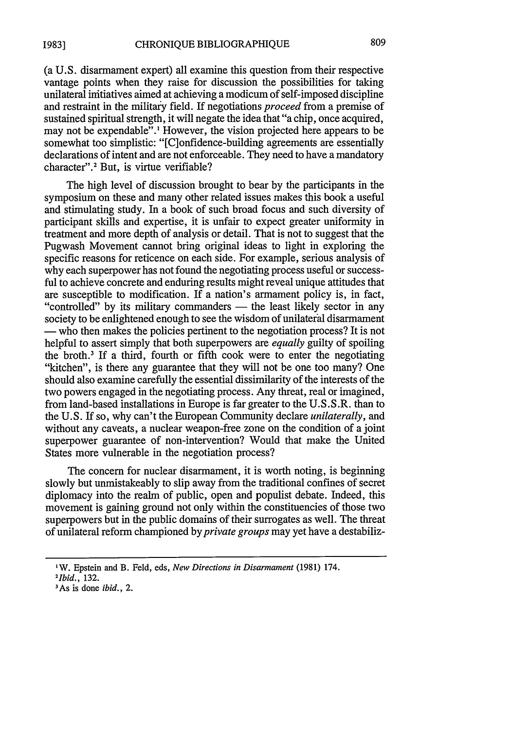(a U.S. disarmament expert) all examine this question from their respective vantage points when they raise for discussion the possibilities for taking unilateral initiatives aimed at achieving a modicum of self-imposed discipline and restraint in the military field. If negotiations *proceed* from a premise of sustained spiritual strength, it will negate the idea that "a chip, once acquired, may not be expendable".' However, the vision projected here appears to be somewhat too simplistic: "[Clonfidence-building agreements are essentially declarations of intent and are not enforceable. They need to have a mandatory character".<sup>2</sup> But, is virtue verifiable?

The high level of discussion brought to bear by the participants in the symposium on these and many other related issues makes this book a useful and stimulating study. In a book of such broad focus and such diversity of participant skills and expertise, it is unfair to expect greater uniformity in treatment and more depth of analysis or detail. That is not to suggest that the Pugwash Movement cannot bring original ideas to light in exploring the specific reasons for reticence on each side. For example, serious analysis of why each superpower has not found the negotiating process useful or successful to achieve concrete and enduring results might reveal unique attitudes that are susceptible to modification. If a nation's armament policy is, in fact, "controlled" by its military commanders — the least likely sector in any society to be enlightened enough to see the wisdom of unilateral disarmament **-** who then makes the policies pertinent to the negotiation process? It is not helpful to assert simply that both superpowers are *equally* guilty of spoiling the broth.3 If a third, fourth or fifth cook were to enter the negotiating "kitchen", is there any guarantee that they will not be one too many? One should also examine carefully the essential dissimilarity of the interests of the two powers engaged in the negotiating process. Any threat, real or imagined, from land-based installations in Europe is far greater to the U.S.S.R. than to the U.S. If so, why can't the European Community declare *unilaterally, and* without any caveats, a nuclear weapon-free zone on the condition of a joint superpower guarantee of non-intervention? Would that make the United States more vulnerable in the negotiation process?

The concern for nuclear disarmament, it is worth noting, is beginning slowly but unmistakeably to slip away from the traditional confines of secret diplomacy into the realm of public, open and populist debate. Indeed, this movement is gaining ground not only within the constituencies of those two superpowers but in the public domains of their surrogates as well. The threat of unilateral reform championed by *private groups* may yet have a destabiliz-

**IW.** Epstein and B. Feld, eds, *New Directions in Disarmament* (1981) 174.

<sup>&</sup>lt;sup>2</sup>*Ibid.,* 132.

As is done *ibid., 2.*